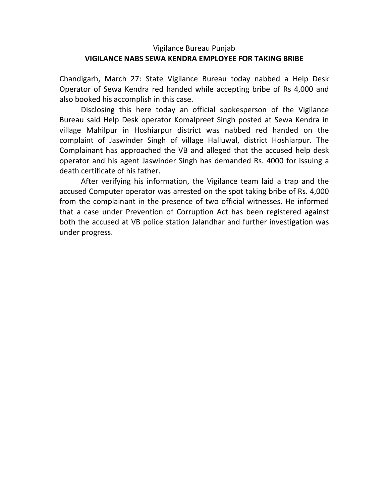## Vigilance Bureau Punjab **VIGILANCE NABS SEWA KENDRA EMPLOYEE FOR TAKING BRIBE**

Chandigarh, March 27: State Vigilance Bureau today nabbed a Help Desk Operator of Sewa Kendra red handed while accepting bribe of Rs 4,000 and also booked his accomplish in this case.

Disclosing this here today an official spokesperson of the Vigilance Bureau said Help Desk operator Komalpreet Singh posted at Sewa Kendra in village Mahilpur in Hoshiarpur district was nabbed red handed on the complaint of Jaswinder Singh of village Halluwal, district Hoshiarpur. The Complainant has approached the VB and alleged that the accused help desk operator and his agent Jaswinder Singh has demanded Rs. 4000 for issuing a death certificate of his father.

After verifying his information, the Vigilance team laid a trap and the accused Computer operator was arrested on the spot taking bribe of Rs. 4,000 from the complainant in the presence of two official witnesses. He informed that a case under Prevention of Corruption Act has been registered against both the accused at VB police station Jalandhar and further investigation was under progress.